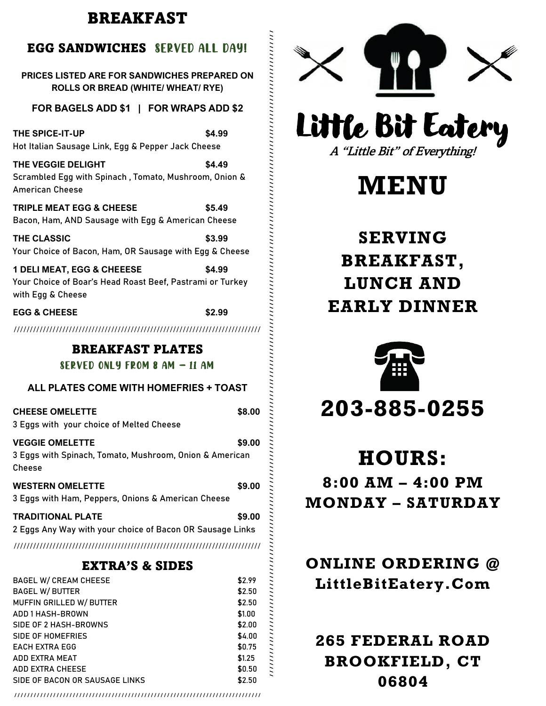# BREAKFAST

# EGG SANDWICHES SERVED ALL DAY!

# **PRICES LISTED ARE FOR SANDWICHES PREPARED ON ROLLS OR BREAD (WHITE/ WHEAT/ RYE)**

# **FOR BAGELS ADD \$1 | FOR WRAPS ADD \$2**

# **EGG & CHEESE \$2.99**

# BREAKFAST PLATES

# SERVED ONLY FROM 8 AM – 11 AM

| ALL PLATES COME WITH HOMEFRIES + TOAST                                                      |        |
|---------------------------------------------------------------------------------------------|--------|
| <b>CHEESE OMELETTE</b><br>3 Eggs with your choice of Melted Cheese                          | \$8.00 |
| <b>VEGGIE OMELETTE</b><br>3 Eggs with Spinach, Tomato, Mushroom, Onion & American<br>Cheese | \$9.00 |
| <b>WESTERN OMELETTE</b><br>3 Eggs with Ham, Peppers, Onions & American Cheese               | \$9.00 |
| <b>TRADITIONAL PLATE</b>                                                                    | \$9.00 |

# EXTRA'S & SIDES

| <b>EGG SANDWICHES SERVED ALL DAY!</b>                                                                                                                                                                                |                                                                              |
|----------------------------------------------------------------------------------------------------------------------------------------------------------------------------------------------------------------------|------------------------------------------------------------------------------|
| <b>PRICES LISTED ARE FOR SANDWICHES PREPARED ON</b><br><b>ROLLS OR BREAD (WHITE/ WHEAT/ RYE)</b>                                                                                                                     |                                                                              |
| FOR BAGELS ADD \$1   FOR WRAPS ADD \$2                                                                                                                                                                               |                                                                              |
| THE SPICE-IT-UP<br>\$4.99<br>Hot Italian Sausage Link, Egg & Pepper Jack Cheese                                                                                                                                      |                                                                              |
| THE VEGGIE DELIGHT<br>\$4.49<br>Scrambled Egg with Spinach, Tomato, Mushroom, Onion &<br><b>American Cheese</b>                                                                                                      |                                                                              |
| <b>TRIPLE MEAT EGG &amp; CHEESE</b><br>\$5.49<br>Bacon, Ham, AND Sausage with Egg & American Cheese                                                                                                                  |                                                                              |
| <b>THE CLASSIC</b><br>\$3.99<br>Your Choice of Bacon, Ham, OR Sausage with Egg & Cheese                                                                                                                              |                                                                              |
| <b>1 DELI MEAT, EGG &amp; CHEEESE</b><br>\$4.99<br>Your Choice of Boar's Head Roast Beef, Pastrami or Turkey<br>with Egg & Cheese                                                                                    |                                                                              |
| <b>EGG &amp; CHEESE</b><br>\$2.99                                                                                                                                                                                    |                                                                              |
|                                                                                                                                                                                                                      |                                                                              |
| <b>BREAKFAST PLATES</b>                                                                                                                                                                                              |                                                                              |
|                                                                                                                                                                                                                      |                                                                              |
|                                                                                                                                                                                                                      |                                                                              |
| SERVED ONLY FROM 8 AM $-$ 11 AM                                                                                                                                                                                      |                                                                              |
| ALL PLATES COME WITH HOMEFRIES + TOAST                                                                                                                                                                               |                                                                              |
| <b>CHEESE OMELETTE</b><br>3 Eggs with your choice of Melted Cheese                                                                                                                                                   | \$8.00                                                                       |
| <b>VEGGIE OMELETTE</b><br>3 Eggs with Spinach, Tomato, Mushroom, Onion & American<br>Cheese                                                                                                                          | \$9.00                                                                       |
| <b>WESTERN OMELETTE</b><br>3 Eggs with Ham, Peppers, Onions & American Cheese                                                                                                                                        | \$9.00                                                                       |
| <b>TRADITIONAL PLATE</b><br>2 Eggs Any Way with your choice of Bacon OR Sausage Links                                                                                                                                | \$9.00                                                                       |
|                                                                                                                                                                                                                      |                                                                              |
| <b>EXTRA'S &amp; SIDES</b>                                                                                                                                                                                           |                                                                              |
| <b>BAGEL W/ CREAM CHEESE</b><br><b>BAGEL W/ BUTTER</b><br>MUFFIN GRILLED W/ BUTTER<br><b>ADD 1 HASH-BROWN</b><br>SIDE OF 2 HASH-BROWNS<br><b>SIDE OF HOMEFRIES</b><br><b>EACH EXTRA EGG</b><br><b>ADD EXTRA MEAT</b> | \$2.99<br>\$2.50<br>\$2.50<br>\$1.00<br>\$2.00<br>\$4.00<br>\$0.75<br>\$1.25 |

////////////////////////////////////////////////////////////////////////////



Little Bit Eatery A "Little Bit" of Everything!

# **MENU**

# **SERVING BREAKFAST, LU NCH AND EARLY DINNER**



, после принимают по простоянной и простоянной и простоянной и простоянной и простоянной и простоянной и просто по после просто на просто на просто на просто на просто на просто на просто на просто на просто на просто на п

# **203 - 885 -0255**

# **HOURS:**

**8:00 AM – 4:00 PM MONDAY – SATURDAY**

# **ONLINE ORDERING @ LittleBitEatery.Com**

# **265 FEDERAL ROAD BROOKFIELD, CT 06804**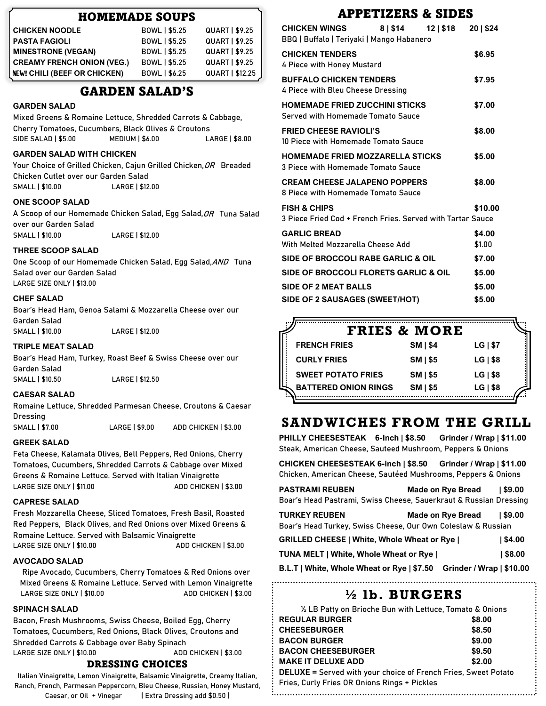# HOMEMADE SOUPS

| <b>CHICKEN NOODLE</b>             | BOWL   \$5.25        | <b>QUART   \$9.25</b> |
|-----------------------------------|----------------------|-----------------------|
| <b>PASTA FAGIOLI</b>              | BOWL   \$5.25        | <b>QUART   \$9.25</b> |
| <b>MINESTRONE (VEGAN)</b>         | BOWL   \$5.25        | <b>QUART   \$9.25</b> |
| <b>CREAMY FRENCH ONION (VEG.)</b> | BOWL   \$5.25        | <b>QUART   \$9.25</b> |
| NEW! CHILI (BEEF OR CHICKEN)      | <b>BOWL   \$6.25</b> | QUART   \$12.25       |

# GARDEN SALAD'S

### **GARDEN SALAD**

Mixed Greens & Romaine Lettuce, Shredded Carrots & Cabbage, Cherry Tomatoes, Cucumbers, Black Olives & Croutons SIDE SALAD | \$5.00 MEDIUM | \$6.00 LARGE | \$8.00

### **GARDEN SALAD WITH CHICKEN**

Your Choice of Grilled Chicken, Cajun Grilled Chicken, OR Breaded Chicken Cutlet over our Garden Salad SMALL | \$10.00 LARGE | \$12.00

### **ONE SCOOP SALAD**

A Scoop of our Homemade Chicken Salad, Egg Salad, OR Tuna Salad over our Garden Salad SMALL | \$10.00 LARGE | \$12.00

### **THREE SCOOP SALAD**

One Scoop of our Homemade Chicken Salad, Egg Salad,AND Tuna Salad over our Garden Salad LARGE SIZE ONLY | \$13.00

### **CHEF SALAD**

Boar's Head Ham, Genoa Salami & Mozzarella Cheese over our Garden Salad

SMALL | \$10.00 LARGE | \$12.00

### **TRIPLE MEAT SALAD**

Boar's Head Ham, Turkey, Roast Beef & Swiss Cheese over our Garden Salad SMALL | \$10.50 LARGE | \$12.50

### **CAESAR SALAD**

Romaine Lettuce, Shredded Parmesan Cheese, Croutons & Caesar Dressing

SMALL | \$7.00 LARGE | \$9.00 ADD CHICKEN | \$3.00

### **GREEK SALAD**

Feta Cheese, Kalamata Olives, Bell Peppers, Red Onions, Cherry Tomatoes, Cucumbers, Shredded Carrots & Cabbage over Mixed Greens & Romaine Lettuce. Served with Italian Vinaigrette LARGE SIZE ONLY | \$11.00 ADD CHICKEN | \$3.00

### **CAPRESE SALAD**

Fresh Mozzarella Cheese, Sliced Tomatoes, Fresh Basil, Roasted Red Peppers, Black Olives, and Red Onions over Mixed Greens & Romaine Lettuce. Served with Balsamic Vinaigrette LARGE SIZE ONLY | \$10.00 ADD CHICKEN | \$3.00

### **AVOCADO SALAD**

Ripe Avocado, Cucumbers, Cherry Tomatoes & Red Onions over Mixed Greens & Romaine Lettuce. Served with Lemon Vinaigrette LARGE SIZE ONLY | \$10.00 ADD CHICKEN | \$3.00

### **SPINACH SALAD**

Bacon, Fresh Mushrooms, Swiss Cheese, Boiled Egg, Cherry Tomatoes, Cucumbers, Red Onions, Black Olives, Croutons and Shredded Carrots & Cabbage over Baby Spinach

LARGE SIZE ONLY 1 \$10.00 ADD CHICKEN 1 \$3.00

# DRESSING CHOICES

Italian Vinaigrette, Lemon Vinaigrette, Balsamic Vinaigrette, Creamy Italian, Ranch, French, Parmesan Peppercorn, Bleu Cheese, Russian, Honey Mustard, Caesar, or Oil + Vinegar | Extra Dressing add \$0.50 |

# APPETIZERS & SIDES

| <b>CHICKEN WINGS</b><br>BBQ   Buffalo   Teriyaki   Mango Habanero                     | 8   \$14   12   \$18 | 201\$24          |
|---------------------------------------------------------------------------------------|----------------------|------------------|
| <b>CHICKEN TENDERS</b><br>4 Piece with Honey Mustard                                  |                      | \$6.95           |
| <b>BUFFALO CHICKEN TENDERS</b><br>4 Piece with Bleu Cheese Dressing                   |                      | \$7.95           |
| <b>HOMEMADE FRIED ZUCCHINI STICKS</b><br>Served with Homemade Tomato Sauce            |                      | \$7.00           |
| <b>FRIED CHEESE RAVIOLI'S</b><br>10 Piece with Homemade Tomato Sauce                  |                      | \$8.00           |
| <b>HOMEMADE FRIED MOZZARELLA STICKS</b><br>3 Piece with Homemade Tomato Sauce         |                      | \$5.00           |
| <b>CREAM CHEESE JALAPENO POPPERS</b><br>8 Piece with Homemade Tomato Sauce            |                      | \$8.00           |
| <b>FISH &amp; CHIPS</b><br>3 Piece Fried Cod + French Fries. Served with Tartar Sauce |                      | \$10.00          |
| <b>GARLIC BREAD</b><br>With Melted Mozzarella Cheese Add                              |                      | \$4.00<br>\$1.00 |
| <b>SIDE OF BROCCOLI RABE GARLIC &amp; OIL</b>                                         |                      | \$7.00           |
| SIDE OF BROCCOLI FLORETS GARLIC & OIL                                                 |                      | \$5.00           |
| <b>SIDE OF 2 MEAT BALLS</b>                                                           |                      | \$5.00           |
| SIDE OF 2 SAUSAGES (SWEET/HOT)                                                        |                      | \$5.00           |

|                             | <b>FRIES &amp; MORE</b> |            |
|-----------------------------|-------------------------|------------|
| <b>FRENCH FRIES</b>         | <b>SM   \$4</b>         | $LG$   \$7 |
| <b>CURLY FRIES</b>          | $SM$   \$5              | $LG$   \$8 |
| <b>SWEET POTATO FRIES</b>   | SM   \$5                | $LG$   \$8 |
| <b>BATTERED ONION RINGS</b> | SM   \$5                | $LG$   \$8 |

# **SANDWICHES FROM THE GRILL**

**PHILLY CHEESESTEAK 6-Inch | \$8.50 Grinder / Wrap | \$11.00**  Steak, American Cheese, Sauteed Mushroom, Peppers & Onions

**CHICKEN CHEESESTEAK 6-inch | \$8.50 Grinder / Wrap | \$11.00**  Chicken, American Cheese, Sautéed Mushrooms, Peppers & Onions

| <b>PASTRAMI REUBEN</b>                                                               | Made on Rye Bread        | 1 \$9.00   |
|--------------------------------------------------------------------------------------|--------------------------|------------|
| Boar's Head Pastrami, Swiss Cheese, Sauerkraut & Russian Dressing                    |                          |            |
| <b>TURKEY REUBEN</b><br>Boar's Head Turkey, Swiss Cheese, Our Own Coleslaw & Russian | <b>Made on Rye Bread</b> | \$9.00     |
| <b>GRILLED CHEESE   White, Whole Wheat or Rye  </b>                                  |                          | $1$ \$4.00 |
| TUNA MELT   White, Whole Wheat or Rye                                                |                          | 1\$8.00    |
| B.L.T   White, Whole Wheat or Rye   \$7.50                                           | Grinder / Wrap   \$10.00 |            |

# **½ lb. BURGERS**

| 1/2 LB Patty on Brioche Bun with Lettuce, Tomato & Onions             |        |
|-----------------------------------------------------------------------|--------|
| <b>REGULAR BURGER</b>                                                 | \$8.00 |
| <b>CHEESEBURGER</b>                                                   | \$8.50 |
| <b>BACON BURGER</b>                                                   | \$9.00 |
| <b>BACON CHEESEBURGER</b>                                             | \$9.50 |
| <b>MAKE IT DELUXE ADD</b>                                             | \$2.00 |
| <b>DELUXE</b> = Served with your choice of French Fries, Sweet Potato |        |
| Fries, Curly Fries OR Onions Rings + Pickles                          |        |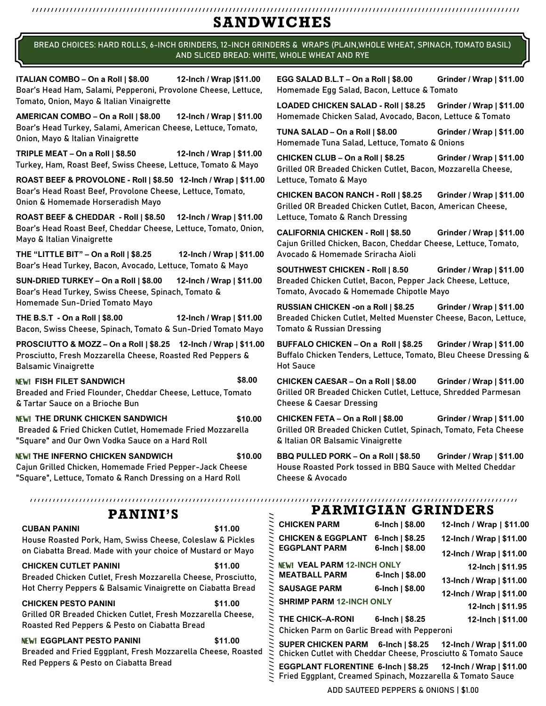# ///////////////////////////////////////////////////////////////////////////////////////////////////////////////////////////////// **SANDWICHES**

BREAD CHOICES: HARD ROLLS, 6-INCH GRINDERS, 12-INCH GRINDERS & WRAPS (PLAIN,WHOLE WHEAT, SPINACH, TOMATO BASIL) AND SLICED BREAD: WHITE, WHOLE WHEAT AND RYE

**ITALIAN COMBO – On a Roll | \$8.00 12-Inch / Wrap |\$11.00** Boar's Head Ham, Salami, Pepperoni, Provolone Cheese, Lettuce, Tomato, Onion, Mayo & Italian Vinaigrette

**AMERICAN COMBO – On a Roll | \$8.00 12-Inch / Wrap | \$11.00** Boar's Head Turkey, Salami, American Cheese, Lettuce, Tomato, Onion, Mayo & Italian Vinaigrette

**TRIPLE MEAT – On a Roll | \$8.50 12-Inch / Wrap | \$11.00** Turkey, Ham, Roast Beef, Swiss Cheese, Lettuce, Tomato & Mayo

**ROAST BEEF & PROVOLONE - Roll | \$8.50 12-Inch / Wrap | \$11.00**  Boar's Head Roast Beef, Provolone Cheese, Lettuce, Tomato, Onion & Homemade Horseradish Mayo

**ROAST BEEF & CHEDDAR - Roll | \$8.50 12-Inch / Wrap | \$11.00**  Boar's Head Roast Beef, Cheddar Cheese, Lettuce, Tomato, Onion, Mayo & Italian Vinaigrette

**THE "LITTLE BIT" – On a Roll | \$8.25 12-Inch / Wrap | \$11.00** Boar's Head Turkey, Bacon, Avocado, Lettuce, Tomato & Mayo

**SUN-DRIED TURKEY – On a Roll | \$8.00 12-Inch / Wrap | \$11.00** Boar's Head Turkey, Swiss Cheese, Spinach, Tomato & Homemade Sun-Dried Tomato Mayo

**THE B.S.T - On a Roll | \$8.00 12-Inch / Wrap | \$11.00** Bacon, Swiss Cheese, Spinach, Tomato & Sun-Dried Tomato Mayo

**PROSCIUTTO & MOZZ – On a Roll | \$8.25 12-Inch / Wrap | \$11.00**  Prosciutto, Fresh Mozzarella Cheese, Roasted Red Peppers & Balsamic Vinaigrette

NEW! **FISH FILET SANDWICH \$8.00**  Breaded and Fried Flounder, Cheddar Cheese, Lettuce, Tomato & Tartar Sauce on a Brioche Bun

NEW! **THE DRUNK CHICKEN SANDWICH \$10.00** Breaded & Fried Chicken Cutlet, Homemade Fried Mozzarella "Square" and Our Own Vodka Sauce on a Hard Roll

NEW! **THE INFERNO CHICKEN SANDWICH \$10.00** Cajun Grilled Chicken, Homemade Fried Pepper-Jack Cheese "Square", Lettuce, Tomato & Ranch Dressing on a Hard Roll

## NEW! **EGGPLANT PESTO PANINI \$11.00**

**EGG SALAD B.L.T – On a Roll | \$8.00 Grinder / Wrap | \$11.00**  Homemade Egg Salad, Bacon, Lettuce & Tomato

**LOADED CHICKEN SALAD - Roll | \$8.25 Grinder / Wrap | \$11.00**  Homemade Chicken Salad, Avocado, Bacon, Lettuce & Tomato

**TUNA SALAD – On a Roll | \$8.00 Grinder / Wrap | \$11.00**  Homemade Tuna Salad, Lettuce, Tomato & Onions

**CHICKEN CLUB – On a Roll | \$8.25 Grinder / Wrap | \$11.00**  Grilled OR Breaded Chicken Cutlet, Bacon, Mozzarella Cheese, Lettuce, Tomato & Mayo

**CHICKEN BACON RANCH - Roll | \$8.25 Grinder / Wrap | \$11.00**  Grilled OR Breaded Chicken Cutlet, Bacon, American Cheese, Lettuce, Tomato & Ranch Dressing

**CALIFORNIA CHICKEN - Roll | \$8.50 Grinder / Wrap | \$11.00**  Cajun Grilled Chicken, Bacon, Cheddar Cheese, Lettuce, Tomato, Avocado & Homemade Sriracha Aioli

**SOUTHWEST CHICKEN - Roll | 8.50 Grinder / Wrap | \$11.00**  Breaded Chicken Cutlet, Bacon, Pepper Jack Cheese, Lettuce, Tomato, Avocado & Homemade Chipotle Mayo

**RUSSIAN CHICKEN -on a Roll | \$8.25 Grinder / Wrap | \$11.00**  Breaded Chicken Cutlet, Melted Muenster Cheese, Bacon, Lettuce, Tomato & Russian Dressing

**BUFFALO CHICKEN – On a Roll | \$8.25 Grinder / Wrap | \$11.00**  Buffalo Chicken Tenders, Lettuce, Tomato, Bleu Cheese Dressing & Hot Sauce

**CHICKEN CAESAR – On a Roll | \$8.00 Grinder / Wrap | \$11.00**  Grilled OR Breaded Chicken Cutlet, Lettuce, Shredded Parmesan Cheese & Caesar Dressing

**CHICKEN FETA – On a Roll | \$8.00 Grinder / Wrap | \$11.00**  Grilled OR Breaded Chicken Cutlet, Spinach, Tomato, Feta Cheese & Italian OR Balsamic Vinaigrette

**BBQ PULLED PORK – On a Roll | \$8.50 Grinder / Wrap | \$11.00**  House Roasted Pork tossed in BBQ Sauce with Melted Cheddar Cheese & Avocado

| <b>PANINI'S</b>                                                                                                           |                                 | <b>PARMIGIAN GRINDERS</b>                                                                                                  |                             |                          |
|---------------------------------------------------------------------------------------------------------------------------|---------------------------------|----------------------------------------------------------------------------------------------------------------------------|-----------------------------|--------------------------|
| UBAN PANINI                                                                                                               | \$11.00                         | <b>CHICKEN PARM</b>                                                                                                        | 6-Inch $  $8.00$            | 12-Inch / Wrap   \$11.00 |
| ouse Roasted Pork, Ham, Swiss Cheese, Coleslaw & Pickles                                                                  |                                 | <b>CHICKEN &amp; EGGPLANT</b>                                                                                              | 6-Inch   $$8.25$            | 12-Inch / Wrap   \$11.00 |
| n Ciabatta Bread. Made with your choice of Mustard or Mayo                                                                |                                 | <b>EGGPLANT PARM</b>                                                                                                       | 6-Inch $  $8.00$            | 12-Inch / Wrap   \$11.00 |
| HICKEN CUTLET PANINI                                                                                                      | \$11.00                         | NEW! VEAL PARM 12-INCH ONLY                                                                                                |                             | 12-Inch $ $11.95$        |
| readed Chicken Cutlet, Fresh Mozzarella Cheese, Prosciutto,<br>ot Cherry Peppers & Balsamic Vinaigrette on Ciabatta Bread |                                 | <b>MEATBALL PARM</b>                                                                                                       | 6-Inch $  $8.00$            | 13-Inch / Wrap   \$11.00 |
|                                                                                                                           |                                 | <b>SAUSAGE PARM</b>                                                                                                        | 6-Inch $  $8.00$            | 12-Inch / Wrap   \$11.00 |
| HICKEN PESTO PANINI<br>\$11.00                                                                                            | <b>SHRIMP PARM 12-INCH ONLY</b> |                                                                                                                            | 12-Inch   \$11.95           |                          |
| rilled OR Breaded Chicken Cutlet, Fresh Mozzarella Cheese,                                                                |                                 | <b>THE CHICK-A-RONI</b>                                                                                                    | 6-Inch $\frac{1}{2}$ \$8.25 | 12-Inch   \$11.00        |
| oasted Red Peppers & Pesto on Ciabatta Bread                                                                              |                                 | Chicken Parm on Garlic Bread with Pepperoni                                                                                |                             |                          |
| W! EGGPLANT PESTO PANINI<br>readed and Fried Eggplant, Fresh Mozzarella Cheese, Roasted                                   | \$11.00                         | SUPER CHICKEN PARM 6-Inch   \$8.25<br>Chicken Cutlet with Cheddar Cheese, Prosciutto & Tomato Sauce<br>Ξ.                  |                             | 12-Inch / Wrap   \$11.00 |
| ed Peppers & Pesto on Ciabatta Bread                                                                                      |                                 | EGGPLANT FLORENTINE 6-Inch   \$8.25 12-Inch / Wrap   \$11.00<br>Fried Eggplant, Creamed Spinach, Mozzarella & Tomato Sauce |                             |                          |

ADD SAUTEED PEPPERS & ONIONS | \$1.00